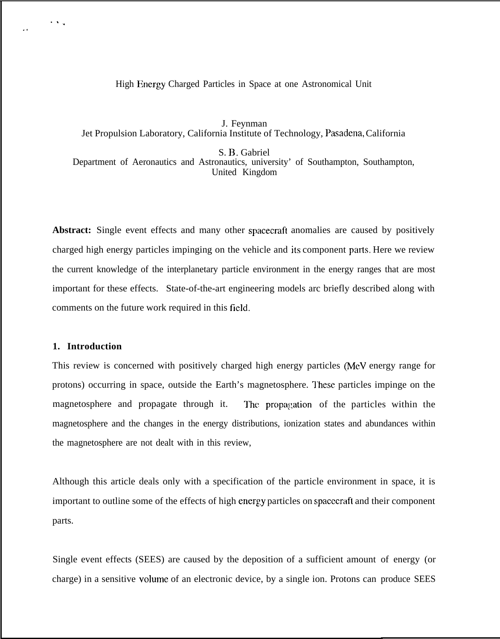High Energy Charged Particles in Space at one Astronomical Unit

J. Feynman Jet Propulsion Laboratory, California Institute of Technology, Pasadena, California

S. B. Gabriel

Department of Aeronautics and Astronautics, university' of Southampton, Southampton, United Kingdom

**Abstract:** Single event effects and many other spacecraft anomalies are caused by positively charged high energy particles impinging on the vehicle and its component parts. Here we review the current knowledge of the interplanetary particle environment in the energy ranges that are most important for these effects. State-of-the-art engineering models arc briefly described along with comments on the future work required in this field.

#### **1. Introduction**

 $\cdot$  .

.,

This review is concerned with positively charged high energy particles (MeV energy range for protons) occurring in space, outside the Earth's magnetosphere. These particles impinge on the magnetosphere and propagate through it. The propagation of the particles within the magnetosphere and the changes in the energy distributions, ionization states and abundances within the magnetosphere are not dealt with in this review,

Although this article deals only with a specification of the particle environment in space, it is important to outline some of the effects of high energy particles on spacecraft and their component parts.

Single event effects (SEES) are caused by the deposition of a sufficient amount of energy (or charge) in a sensitive volume of an electronic device, by a single ion. Protons can produce SEES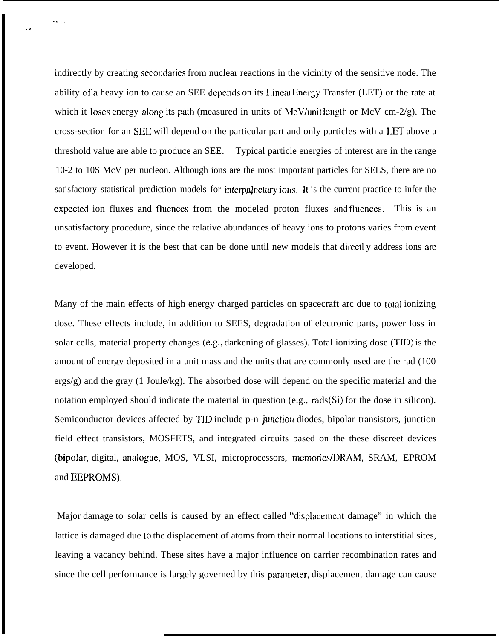indirectly by creating secondaries from nuclear reactions in the vicinity of the sensitive node. The ability of a heavy ion to cause an SEE depends on its Linear Energy Transfer (LET) or the rate at which it loses energy along its path (measured in units of MeV/unit length or McV cm-2/g). The cross-section for an SEE will depend on the particular part and only particles with a LET above a threshold value are able to produce an SEE. Typical particle energies of interest are in the range 10-2 to 10S McV per nucleon. Although ions are the most important particles for SEES, there are no satisfactory statistical prediction models for interpalnetary ions. It is the current practice to infer the cxpectcd ion fluxes and fluences from the modeled proton fluxes and fluences. This is an unsatisfactory procedure, since the relative abundances of heavy ions to protons varies from event to event. However it is the best that can be done until new models that directly address ions are developed.

Many of the main effects of high energy charged particles on spacecraft arc due to total ionizing dose. These effects include, in addition to SEES, degradation of electronic parts, power loss in solar cells, material property changes (e.g., darkening of glasses). Total ionizing dose (TID) is the amount of energy deposited in a unit mass and the units that are commonly used are the rad (100  $\text{ergs/g}$ ) and the gray (1 Joule/kg). The absorbed dose will depend on the specific material and the notation employed should indicate the material in question (e.g., rads(Si) for the dose in silicon). Semiconductor devices affected by TID include p-n junction diodes, bipolar transistors, junction field effect transistors, MOSFETS, and integrated circuits based on the these discreet devices (bipolar, digital, analogue, MOS, VLSI, microprocessors, memories/DRAM, SRAM, EPROM and EEPROMS).

Major damage to solar cells is caused by an effect called "displacement damage" in which the lattice is damaged due to the displacement of atoms from their normal locations to interstitial sites, leaving a vacancy behind. These sites have a major influence on carrier recombination rates and since the cell performance is largely governed by this parameter, displacement damage can cause

,.

.,,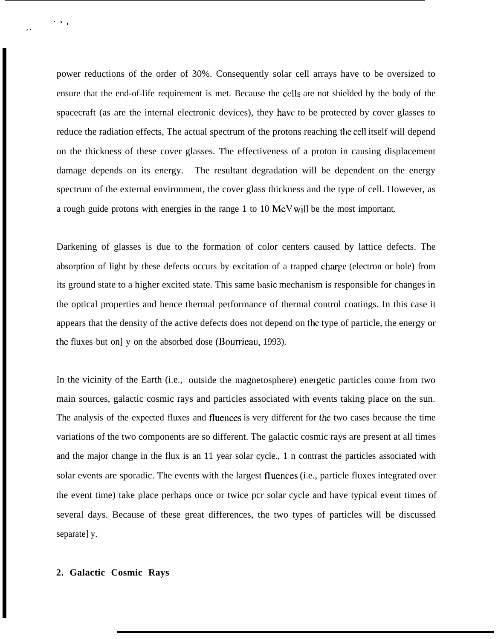power reductions of the order of 30%. Consequently solar cell arrays have to be oversized to ensure that the end-of-life requirement is met. Because the CC1lS are not shielded by the body of the spacecraft (as are the internal electronic devices), they have to be protected by cover glasses to reduce the radiation effects, The actual spectrum of the protons reaching the cell itself will depend on the thickness of these cover glasses. The effectiveness of a proton in causing displacement damage depends on its energy. The resultant degradation will be dependent on the energy spectrum of the external environment, the cover glass thickness and the type of cell. However, as a rough guide protons with energies in the range 1 to 10 MeV will be the most important.

Darkening of glasses is due to the formation of color centers caused by lattice defects. The absorption of light by these defects occurs by excitation of a trapped charge (electron or hole) from its ground state to a higher excited state. This same basic mechanism is responsible for changes in the optical properties and hence thermal performance of thermal control coatings. In this case it appears that the density of the active defects does not depend on the type of particle, the energy or the fluxes but on] y on the absorbed dose (Bourrieau, 1993).

In the vicinity of the Earth (i.e., outside the magnetosphere) energetic particles come from two main sources, galactic cosmic rays and particles associated with events taking place on the sun. The analysis of the expected fluxes and fluences is very different for the two cases because the time variations of the two components are so different. The galactic cosmic rays are present at all times and the major change in the flux is an 11 year solar cycle., 1 n contrast the particles associated with solar events are sporadic. The events with the largest fluences (i.e., particle fluxes integrated over the event time) take place perhaps once or twice pcr solar cycle and have typical event times of several days. Because of these great differences, the two types of particles will be discussed separate] y.

## **2. Galactic Cosmic Rays**

,.

 $\cdot$  .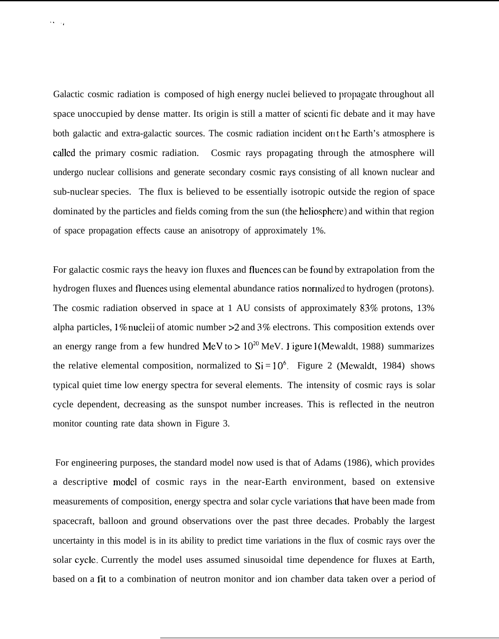Galactic cosmic radiation is composed of high energy nuclei believed to propagate throughout all space unoccupied by dense matter. Its origin is still a matter of scicnti fic debate and it may have both galactic and extra-galactic sources. The cosmic radiation incident on the Earth's atmosphere is called the primary cosmic radiation. Cosmic rays propagating through the atmosphere will undergo nuclear collisions and generate secondary cosmic rays consisting of all known nuclear and sub-nuclear species. The flux is believed to be essentially isotropic oulside the region of space dominated by the particles and fields coming from the sun (the heliosphere) and within that region of space propagation effects cause an anisotropy of approximately 1%.

...,

For galactic cosmic rays the heavy ion fluxes and fluences can be found by extrapolation from the hydrogen fluxes and fluences using elemental abundance ratios normalized to hydrogen (protons). The cosmic radiation observed in space at 1 AU consists of approximately 83% protons, 13% alpha particles, 1% nucleii of atomic number  $>2$  and 3% electrons. This composition extends over an energy range from a few hundred MeV to  $>10^{20}$  MeV. I igure 1 (Mewaldt, 1988) summarizes the relative elemental composition, normalized to  $Si = 10^6$ . Figure 2 (Mewaldt, 1984) shows typical quiet time low energy spectra for several elements. The intensity of cosmic rays is solar cycle dependent, decreasing as the sunspot number increases. This is reflected in the neutron monitor counting rate data shown in Figure 3.

For engineering purposes, the standard model now used is that of Adams (1986), which provides a descriptive model of cosmic rays in the near-Earth environment, based on extensive measurements of composition, energy spectra and solar cycle variations that have been made from spacecraft, balloon and ground observations over the past three decades. Probably the largest uncertainty in this model is in its ability to predict time variations in the flux of cosmic rays over the solar cycle. Currently the model uses assumed sinusoidal time dependence for fluxes at Earth, based on a fit to a combination of neutron monitor and ion chamber data taken over a period of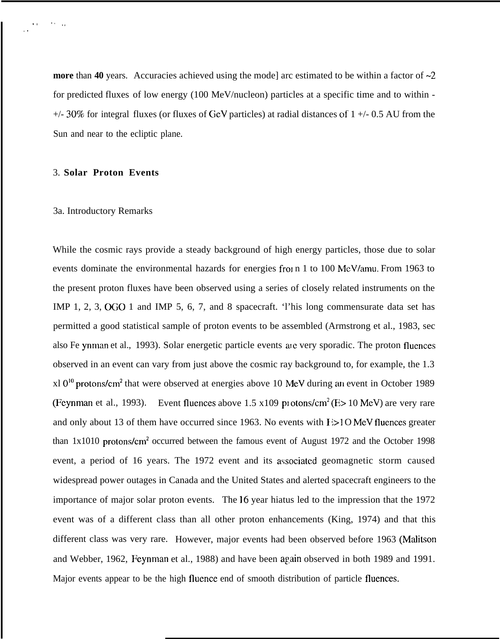**more** than 40 years. Accuracies achieved using the mode] arc estimated to be within a factor of  $\sim$ 2 for predicted fluxes of low energy (100 MeV/nucleon) particles at a specific time and to within -  $+/-$  30% for integral fluxes (or fluxes of GeV particles) at radial distances of 1  $+/-$  0.5 AU from the Sun and near to the ecliptic plane.

## 3. **Solar Proton Events**

 $\mathbf{q} = \mathbf{q}$ 

,.

## 3a. Introductory Remarks

While the cosmic rays provide a steady background of high energy particles, those due to solar events dominate the environmental hazards for energies from 1 to 100 MeV/amu. From 1963 to the present proton fluxes have been observed using a series of closely related instruments on the IMP 1, 2, 3, OGO 1 and IMP 5, 6, 7, and 8 spacecraft. 'l'his long commensurate data set has permitted a good statistical sample of proton events to be assembled (Armstrong et al., 1983, sec also Fe ynman et al., 1993). Solar energetic particle events arc very sporadic. The proton fluences observed in an event can vary from just above the cosmic ray background to, for example, the 1.3  $x<sup>10<sup>10</sup></sup>$  protons/cm<sup>2</sup> that were observed at energies above 10 MeV during an event in October 1989(Feynman et al., 1993). Event fluences above 1.5 x109 protons/cm<sup>2</sup> (E> 10 MeV) are very rare and only about 13 of them have occurred since 1963. No events with  $I > 10$  MeV fluences greater than 1x1010 protons/cm<sup>2</sup> occurred between the famous event of August 1972 and the October 1998 event, a period of 16 years. The 1972 event and its awociatcd geomagnetic storm caused widespread power outages in Canada and the United States and alerted spacecraft engineers to the importance of major solar proton events. The 16 year hiatus led to the impression that the 1972 event was of a different class than all other proton enhancements (King, 1974) and that this different class was very rare. However, major events had been observed before 1963 (Malitson and Webber, 1962, Feynman et al., 1988) and have been again observed in both 1989 and 1991. Major events appear to be the high fluence end of smooth distribution of particle fluences.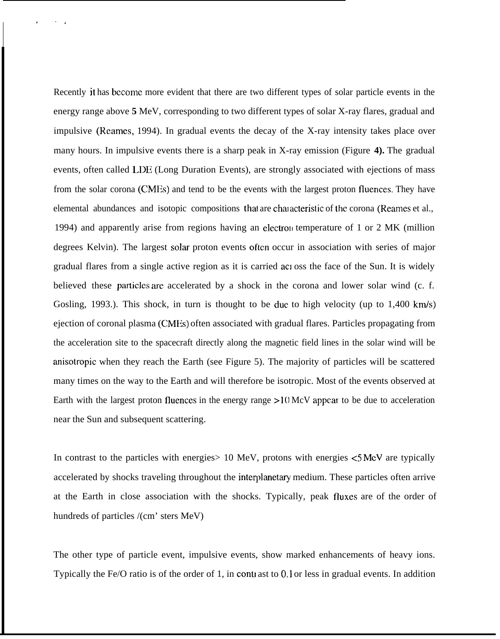Recently it has bccomc more evident that there are two different types of solar particle events in the energy range above **5** MeV, corresponding to two different types of solar X-ray flares, gradual and impulsive (Rcamcs, 1994). In gradual events the decay of the X-ray intensity takes place over many hours. In impulsive events there is a sharp peak in X-ray emission (Figure **4).** The gradual events, often called LDE (Long Duration Events), are strongly associated with ejections of mass from the solar corona (CMES) and tend to be the events with the largest proton fluences. They have elemental abundances and isotopic compositions that are characteristic of the corona (Rearnes et al., 1994) and apparently arise from regions having an electron temperature of 1 or 2 MK (million degrees Kelvin). The largest solar proton events often occur in association with series of major gradual flares from a single active region as it is carried act oss the face of the Sun. It is widely believed these particles are accelerated by a shock in the corona and lower solar wind (c. f. Gosling, 1993.). This shock, in turn is thought to be due to high velocity (up to  $1,400 \text{ km/s}$ ) ejection of coronal plasma (CMES) often associated with gradual flares. Particles propagating from the acceleration site to the spacecraft directly along the magnetic field lines in the solar wind will be anisotropic when they reach the Earth (see Figure 5). The majority of particles will be scattered many times on the way to the Earth and will therefore be isotropic. Most of the events observed at Earth with the largest proton fluences in the energy range >10 McV appear to be due to acceleration near the Sun and subsequent scattering.

,.,

In contrast to the particles with energies  $> 10$  MeV, protons with energies  $< 5$  MeV are typically accelerated by shocks traveling throughout the interplanetary medium. These particles often arrive at the Earth in close association with the shocks. Typically, peak fluxes are of the order of hundreds of particles /(cm' sters MeV)

The other type of particle event, impulsive events, show marked enhancements of heavy ions. Typically the Fe/O ratio is of the order of 1, in contrast to 0.1 or less in gradual events. In addition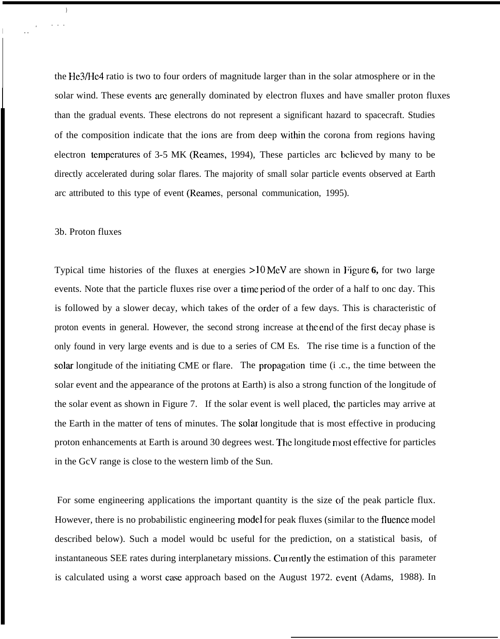the He3/He4 ratio is two to four orders of magnitude larger than in the solar atmosphere or in the solar wind. These events arc generally dominated by electron fluxes and have smaller proton fluxes than the gradual events. These electrons do not represent a significant hazard to spacecraft. Studies of the composition indicate that the ions are from deep within the corona from regions having electron temperatures of 3-5 MK (Reames, 1994), These particles arc believed by many to be directly accelerated during solar flares. The majority of small solar particle events observed at Earth arc attributed to this type of event (Reames, personal communication, 1995).

#### 3b. Proton fluxes

)

. . .

,

<sup>I</sup> . .

Typical time histories of the fluxes at energies >10 MeV are shown in Figure 6, for two large events. Note that the particle fluxes rise over a time period of the order of a half to onc day. This is followed by a slower decay, which takes of the order of a few days. This is characteristic of proton events in general. However, the second strong increase at the end of the first decay phase is only found in very large events and is due to a series of CM Es. The rise time is a function of the solar longitude of the initiating CME or flare. The propagation time (i.c., the time between the solar event and the appearance of the protons at Earth) is also a strong function of the longitude of the solar event as shown in Figure 7. If the solar event is well placed, the particles may arrive at the Earth in the matter of tens of minutes. The solat longitude that is most effective in producing proton enhancements at Earth is around 30 degrees west. The longitude most effective for particles in the GcV range is close to the western limb of the Sun.

For some engineering applications the important quantity is the size of the peak particle flux. However, there is no probabilistic engineering model for peak fluxes (similar to the fluence model described below). Such a model would bc useful for the prediction, on a statistical basis, of instantaneous SEE rates during interplanetary missions. Currently the estimation of this parameter is calculated using a worst case approach based on the August 1972. event (Adams, 1988). In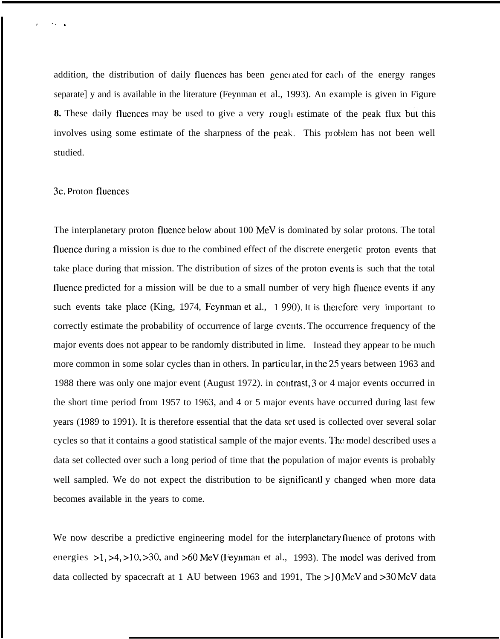addition, the distribution of daily fluences has been generated for each of the energy ranges separate] y and is available in the literature (Feynman et al., 1993). An example is given in Figure 8. These daily fluences may be used to give a very rough estimate of the peak flux but this involves using some estimate of the sharpness of the peak. This problem has not been well studied.

# 3c, Proton fluences

,,. ,

The interplanetary proton fluence below about 100 MeV is dominated by solar protons. The total fluence during a mission is due to the combined effect of the discrete energetic proton events that take place during that mission. The distribution of sizes of the proton events is such that the total fluencc predicted for a mission will be due to a small number of very high fluence events if any such events take place (King, 1974, Feynman et al., 1990). It is therefore very important to correctly estimate the probability of occurrence of large events. The occurrence frequency of the major events does not appear to be randomly distributed in lime. Instead they appear to be much more common in some solar cycles than in others. In particular, in the 25 years between 1963 and 1988 there was only one major event (August 1972). in contrast, 3 or 4 major events occurred in the short time period from 1957 to 1963, and 4 or 5 major events have occurred during last few years (1989 to 1991). It is therefore essential that the data set used is collected over several solar cycles so that it contains a good statistical sample of the major events. I'hc model described uses a data set collected over such a long period of time that the population of major events is probably well sampled. We do not expect the distribution to be significantly changed when more data becomes available in the years to come.

We now describe a predictive engineering model for the interplanetary fluence of protons with energies  $>1, >4, >10, >30$ , and  $>60$  MeV (Feynman et al., 1993). The model was derived from data collected by spacecraft at 1 AU between 1963 and 1991, The >10 McV and >30 MeV data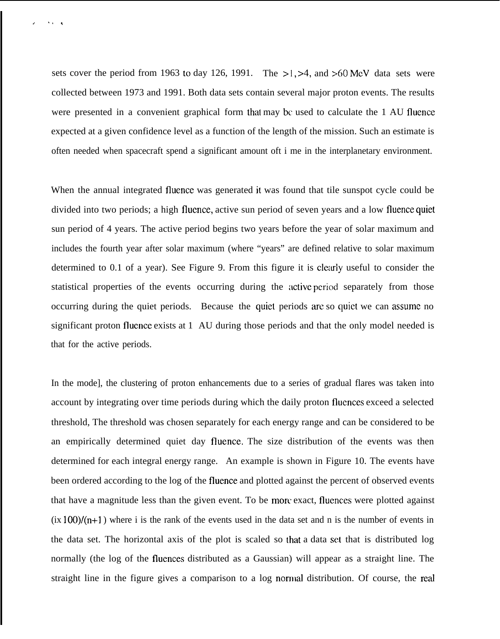sets cover the period from 1963 to day 126, 1991. The >1, >4, and >60 MeV data sets were collected between 1973 and 1991. Both data sets contain several major proton events. The results were presented in a convenient graphical form that may bc used to calculate the 1 AU fluence expected at a given confidence level as a function of the length of the mission. Such an estimate is often needed when spacecraft spend a significant amount oft i me in the interplanetary environment.

<sup>J</sup> .,,

When the annual integrated fluence was generated it was found that tile sunspot cycle could be divided into two periods; a high fluence, active sun period of seven years and a low fluence quiet sun period of 4 years. The active period begins two years before the year of solar maximum and includes the fourth year after solar maximum (where "years" are defined relative to solar maximum determined to 0.1 of a year). See Figure 9. From this figure it is clcady useful to consider the statistical properties of the events occurring during the active period separately from those occurring during the quiet periods. Because the quiet periods are so quiet we can assume no significant proton fluence exists at 1 AU during those periods and that the only model needed is that for the active periods.

In the mode], the clustering of proton enhancements due to a series of gradual flares was taken into account by integrating over time periods during which the daily proton fluences exceed a selected threshold, The threshold was chosen separately for each energy range and can be considered to be an empirically determined quiet day fluence. The size distribution of the events was then determined for each integral energy range. An example is shown in Figure 10. The events have been ordered according to the log of the fluence and plotted against the percent of observed events that have a magnitude less than the given event. To be morr exact, flucnces were plotted against  $(ix 100)/(n+1)$  where i is the rank of the events used in the data set and n is the number of events in the data set. The horizontal axis of the plot is scaled so that a data set that is distributed log normally (the log of the fluences distributed as a Gaussian) will appear as a straight line. The straight line in the figure gives a comparison to a log normal distribution. Of course, the real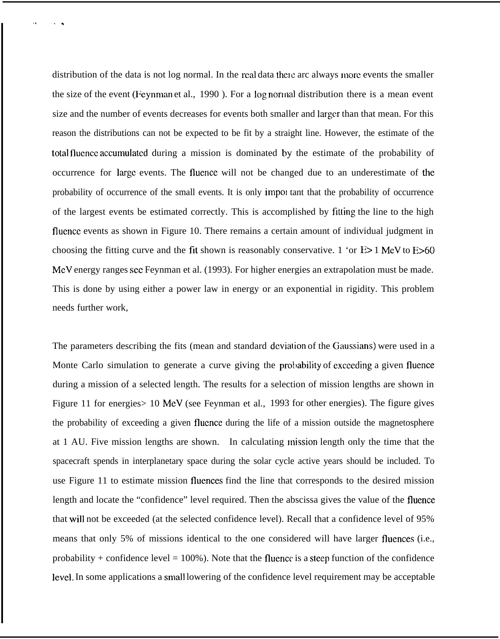distribution of the data is not log normal. In the real data there arc always more events the smaller the size of the event (Feynman et al., 1990 ). For a log norlnal distribution there is a mean event size and the number of events decreases for events both smaller and larger than that mean. For this reason the distributions can not be expected to be fit by a straight line. However, the estimate of the total fluence accumulated during a mission is dominated by the estimate of the probability of occurrence for large events. The fluence will not be changed due to an underestimate of the probability of occurrence of the small events. It is only important that the probability of occurrence of the largest events be estimated correctly. This is accomplished by fitting the line to the high flucnce events as shown in Figure 10. There remains a certain amount of individual judgment in choosing the fitting curve and the fit shown is reasonably conservative. 1 'or  $E > 1$  MeV to  $E > 60$ MeV energy ranges see Feynman et al. (1993). For higher energies an extrapolation must be made. This is done by using either a power law in energy or an exponential in rigidity. This problem needs further work,

The parameters describing the fits (mean and standard deviation of the Gaussians) were used in a Monte Carlo simulation to generate a curve giving the probability of exceeding a given fluence during a mission of a selected length. The results for a selection of mission lengths are shown in Figure 11 for energies in  $10 \text{ MeV}$  (see Feynman et al., 1993 for other energies). The figure gives the probability of exceeding a given fluence during the life of a mission outside the magnetosphere at 1 AU. Five mission lengths are shown. In calculating mission length only the time that the spacecraft spends in interplanetary space during the solar cycle active years should be included. To use Figure 11 to estimate mission fluences find the line that corresponds to the desired mission length and locate the "confidence" level required. Then the abscissa gives the value of the fluence that will not be exceeded (at the selected confidence level). Recall that a confidence level of 95% means that only 5% of missions identical to the one considered will have larger fluences (i.e., probability + confidence level =  $100\%$ ). Note that the fluence is a steep function of the confidence level. In some applications a small lowering of the confidence level requirement may be acceptable

t.. .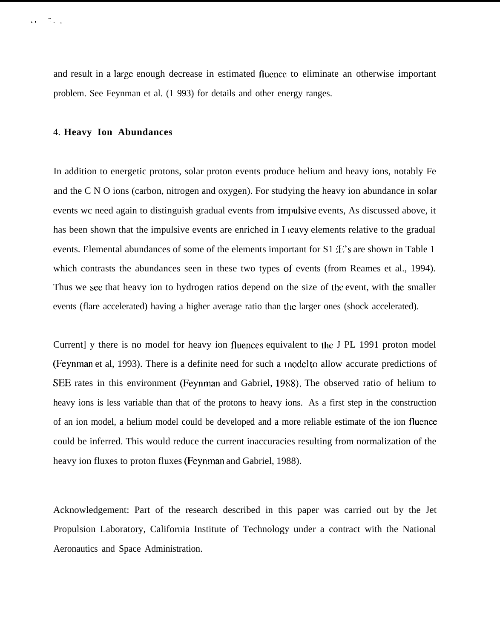and result in a large enough decrease in estimated fluence to eliminate an otherwise important problem. See Feynman et al. (1 993) for details and other energy ranges.

## 4. **Heavy Ion Abundances**

In addition to energetic protons, solar proton events produce helium and heavy ions, notably Fe and the C N O ions (carbon, nitrogen and oxygen). For studying the heavy ion abundance in solar events wc need again to distinguish gradual events from impulsive events, As discussed above, it has been shown that the impulsive events are enriched in I leavy elements relative to the gradual events. Elemental abundances of some of the elements important for  $S1 \times s$  are shown in Table 1 which contrasts the abundances seen in these two types of events (from Reames et al., 1994). Thus we see that heavy ion to hydrogen ratios depend on the size of the event, with the smaller events (flare accelerated) having a higher average ratio than the larger ones (shock accelerated).

Current] y there is no model for heavy ion fluences equivalent to the J PL 1991 proton model (Feynman et al, 1993). There is a definite need for such a model to allow accurate predictions of SEE rates in this environment (Feynman and Gabriel, 1988). The observed ratio of helium to heavy ions is less variable than that of the protons to heavy ions. As a first step in the construction of an ion model, a helium model could be developed and a more reliable estimate of the ion fluence could be inferred. This would reduce the current inaccuracies resulting from normalization of the heavy ion fluxes to proton fluxes (Feynman and Gabriel, 1988).

Acknowledgement: Part of the research described in this paper was carried out by the Jet Propulsion Laboratory, California Institute of Technology under a contract with the National Aeronautics and Space Administration.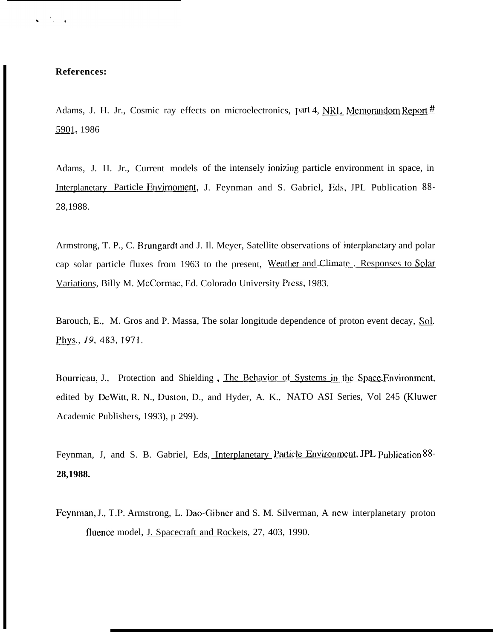$\frac{A}{\sqrt{2}}$  ,  $\frac{A}{\sqrt{2}}$ 

Adams, J. H. Jr., Cosmic ray effects on microelectronics, part 4, NRL Memorandom Report  $\#$ 5901, 1986

Adams, J. H. Jr., Current models of the intensely ionizing particle environment in space, in Interplanetary Particle Envirnoment, J. Feynman and S. Gabriel, F.ds, JPL Publication 88-28,1988.

Armstrong, T. P., C. Brungardt and J. Il. Meyer, Satellite observations of interplanetary and polar cap solar particle fluxes from 1963 to the present, Weather and Climate .\_Responses to Solar Variations, Billy M. McCormac, Ed. Colorado University Press, 1983.

Barouch, E., M. Gros and P. Massa, The solar longitude dependence of proton event decay, Sol. Phys., 19, 483, 1971.

Bourrieau, J., Protection and Shielding, The Behavior of Systems in the Space Environment, edited by DcWitt, R. N., Duston, D., and Hyder, A. K., NATO ASI Series, Vol 245 (Kluwer Academic Publishers, 1993), p 299).

Feynman, J, and S. B. Gabriel, Eds, Interplanetary Particle Environment, JPL publication 88-**28,1988.**

Feynman, J., T.P. Armstrong, L. Dao-Gibner and S. M. Silverman, A new interplanetary proton fluence model, J. Spacecraft and Rockets, 27, 403, 1990.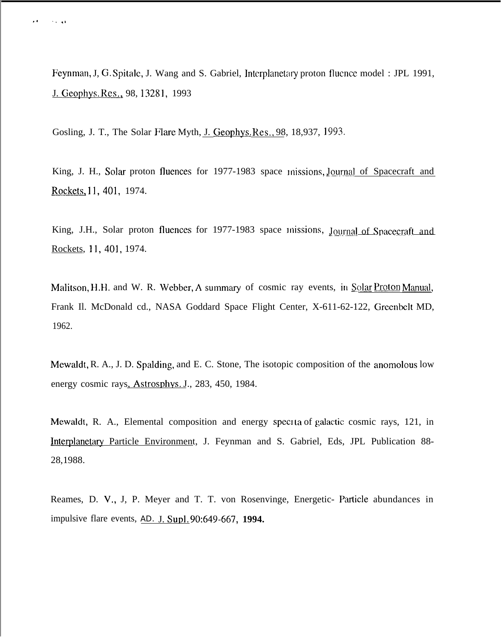Feynman, J. G. Spitale, J. Wang and S. Gabriel, Interplanetary proton fluence model: JPL 1991, J. Geophys. Res., 98, 13281, 1993

Gosling, J. T., The Solar Flare Myth, J. Geophys, Res., 98, 18,937, 1993.

 $\sim 10$  and

King, J. H., Solar proton fluences for 1977-1983 space missions, Journal of Spacecraft and Rockets, 11, 401, 1974.

King, J.H., Solar proton fluences for 1977-1983 space missions, Journal of Spacecraft and Rockets, 11, 401, 1974.

Malitson, H.H. and W. R. Webber, A summary of cosmic ray events, in Solar Proton Manual, Frank II. McDonald cd., NASA Goddard Space Flight Center, X-611-62-122, Greenbelt MD, 1962.

Mewaldt, R. A., J. D. Spalding, and E. C. Stone, The isotopic composition of the anomolous low energy cosmic rays, Astrosphys. J., 283, 450, 1984.

Mewaldt, R. A., Elemental composition and energy specita of galactic cosmic rays, 121, in Interplanetary Particle Environment, J. Feynman and S. Gabriel, Eds, JPL Publication 88-28,1988.

Reames, D. V., J, P. Meyer and T. T. von Rosenvinge, Energetic- Particle abundances in impulsive flare events, AD. J. Supl. 90:649-667, 1994.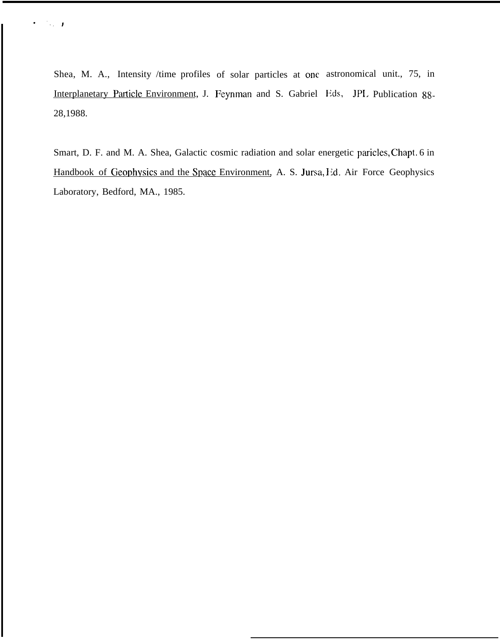Shea, M. A., Intensity /time profiles of solar particles at one astronomical unit., 75, in Interplanetary Particle Environment, J. Feynman and S. Gabriel Eds, JPL Publication 88-28,1988.

.,,

Smart, D. F. and M. A. Shea, Galactic cosmic radiation and solar energetic paricles, Chapt. 6 in Handbook of Geophysics and the Space Environment, A. S. Jursa, I'd. Air Force Geophysics Laboratory, Bedford, MA., 1985.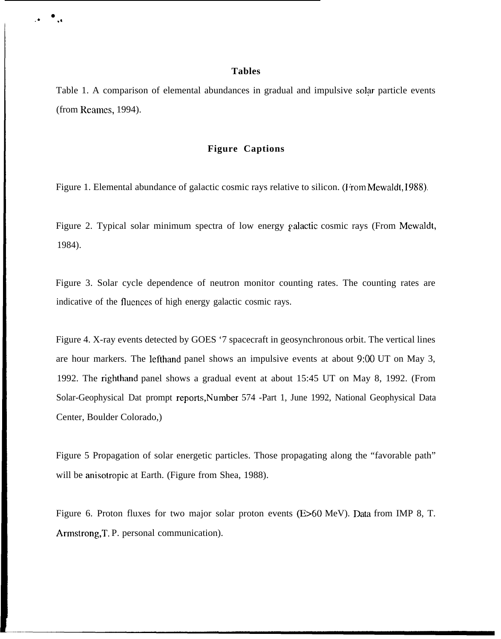## **Tables**

● ✎☛ **.Q**

> Table 1. A comparison of elemental abundances in gradual and impulsive solar particle events (from Reames, 1994).

## **Figure Captions**

Figure 1. Elemental abundance of galactic cosmic rays relative to silicon. (From Mewaldt, 1988).

Figure 2. Typical solar minimum spectra of low energy galactic cosmic rays (From Mewaldt, 1984).

Figure 3. Solar cycle dependence of neutron monitor counting rates. The counting rates are indicative of the flucnces of high energy galactic cosmic rays.

Figure 4. X-ray events detected by GOES '7 spacecraft in geosynchronous orbit. The vertical lines are hour markers. The lefthand panel shows an impulsive events at about 9:00 UT on May 3, 1992. The righthand panel shows a gradual event at about 15:45 UT on May 8, 1992. (From Solar-Geophysical Dat prompt reports,Number 574 -Part 1, June 1992, National Geophysical Data Center, Boulder Colorado,)

Figure 5 Propagation of solar energetic particles. Those propagating along the "favorable path" will be anisotropic at Earth. (Figure from Shea, 1988).

Figure 6. Proton fluxes for two major solar proton events (E>60 MeV). Data from IMP 8, T. Armstrong,T, P. personal communication).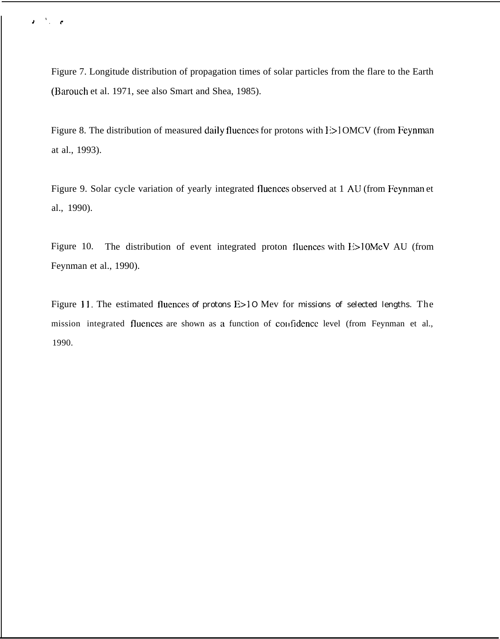Figure 7. Longitude distribution of propagation times of solar particles from the flare to the Earth (Barouch et al. 1971, see also Smart and Shea, 1985).

 $J$ , reduced to  $\mathcal{L}$ 

Figure 8. The distribution of measured daily fluences for protons with  $E > 10MCV$  (from Feynman at al., 1993).

Figure 9. Solar cycle variation of yearly integrated fluences observed at 1 AIJ (from Feynman et al., 1990).

Figure 10. The distribution of event integrated proton fluences with E>10MeV AU (from Feynman et al., 1990).

Figure 11. The estimated fluences of protons  $E>10$  Mev for missions of selected lengths. The mission integrated fluences are shown as a function of confidence level (from Feynman et al., 1990.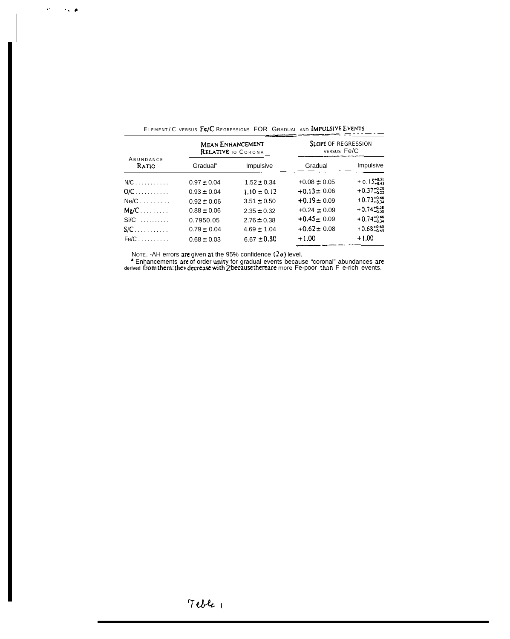| ABUNDANCE<br>Ratio | <b>MEAN ENHANCEMENT</b><br>RELATIVE TO CORONA |                 | <b>SLOPE OF REGRESSION</b><br>VERSUS Fe/C |                          |
|--------------------|-----------------------------------------------|-----------------|-------------------------------------------|--------------------------|
|                    | Gradual"                                      | Impulsive       | Gradual                                   | Impulsive                |
| $N/C$              | $0.97 \pm 0.04$                               | $1.52 \pm 0.34$ | $+0.08 \pm 0.05$                          | $+ 0.15_{-0.43}^{+0.51}$ |
| $O/C$              | $0.93 \pm 0.04$                               | $1.10 \pm 0.12$ | $+0.13 \pm 0.06$                          | $+0.37^{+0.21}_{-0.22}$  |
| $Ne/C$             | $0.92 \pm 0.06$                               | $3.51 \pm 0.50$ | $+0.19 \pm 0.09$                          | $+0.73_{-0.14}^{+0.46}$  |
| $Mg/C$             | $0.88 \pm 0.06$                               | $2.35 \pm 0.32$ | $+0.24 \pm 0.09$                          | $+0.74_{-0.30}^{+0.38}$  |
| $Si/C$             | 0.7950.05                                     | $2.76 \pm 0.38$ | $+0.45 \pm 0.09$                          | $+0.74^{+0.46}_{-0.14}$  |
| $S/C$              | $0.79 \pm 0.04$                               | $4.69 \pm 1.04$ | $+0.62 \pm 0.08$                          | $+0.68^{+0.60}_{-0.45}$  |
| $Fe/C$             | $0.68 \pm 0.03$                               | $6.67 \pm 0.80$ | $+1.00$                                   | $+1.00$                  |

| ELEMENT/C VERSUS Fe/C REGRESSIONS FOR GRADUAL AND IMPULSIVE EVENTS |  |  |  |
|--------------------------------------------------------------------|--|--|--|
|--------------------------------------------------------------------|--|--|--|

 $\hat{V} = \hat{V} \hat{V}$  is

NOTE. -AH errors are given at the 95% confidence  $(2 \sigma)$  level.<br>
<br> **Enhancements are of order unity for gradual events because "coronal" abundances are derived from them: they decrease with Z because there are more Fe-poo**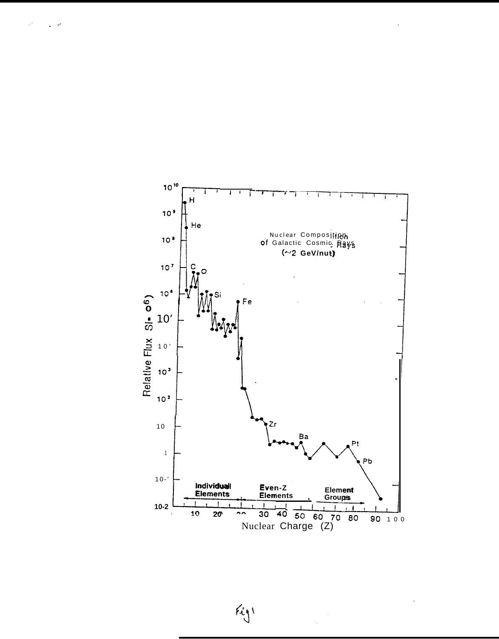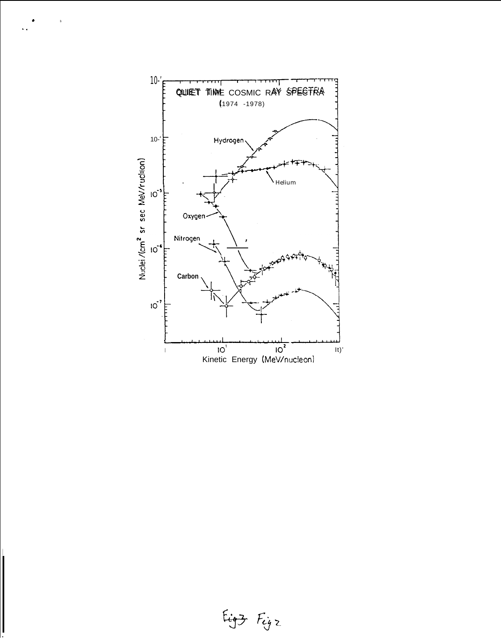

 $\mathsf b$ 

 $\bar{\mathbf{r}}$  .

Figz Figz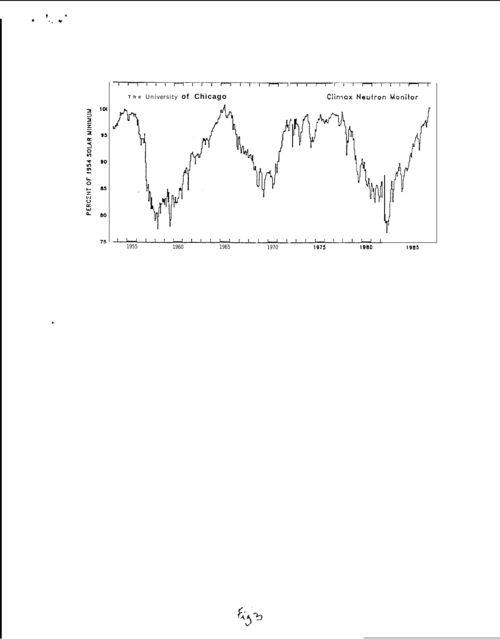

 $\mathcal{F}_{\mathcal{A}}$ 

 $\ddot{\phantom{1}}$ 

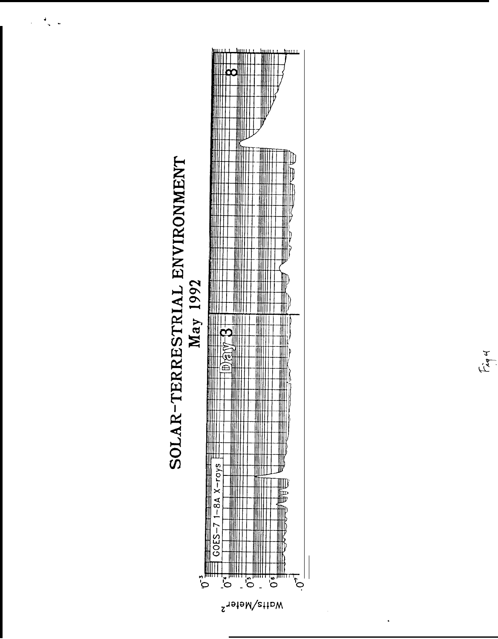

Fig4

 $\frac{1}{2}$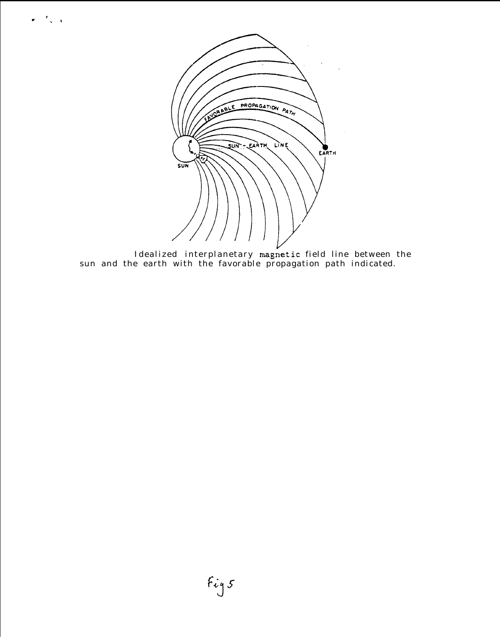

 $\mathbf{r} = \frac{1}{2} \sum_{i=1}^{n} \mathbf{r}_i$ 

Idealized interplanetary magnetic field line between the sun and the earth with the favorable propagation path indicated.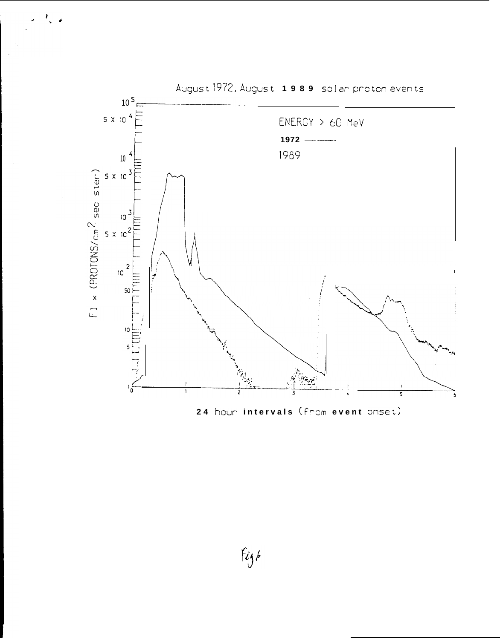

 $f_{ij}$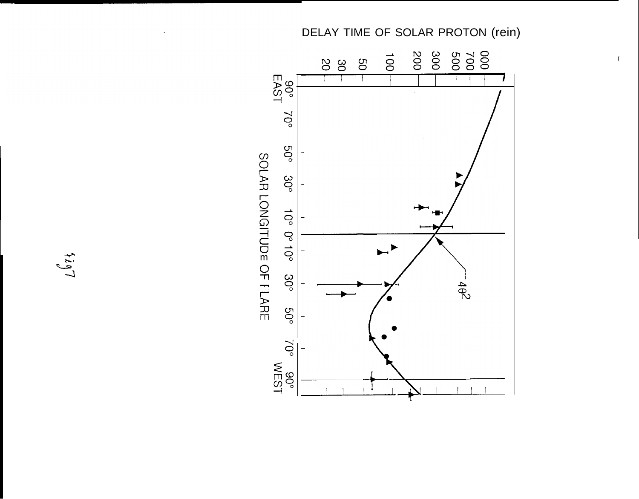

 $\overline{(\ }$ 

SOLAR LONGITUDE OF FLARE

 $\sim 10^6$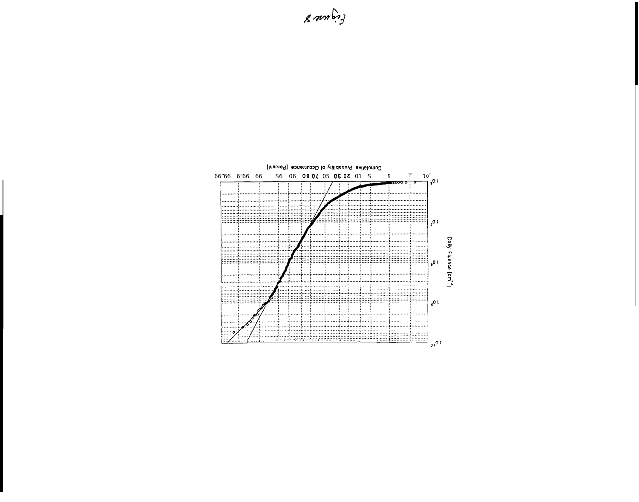

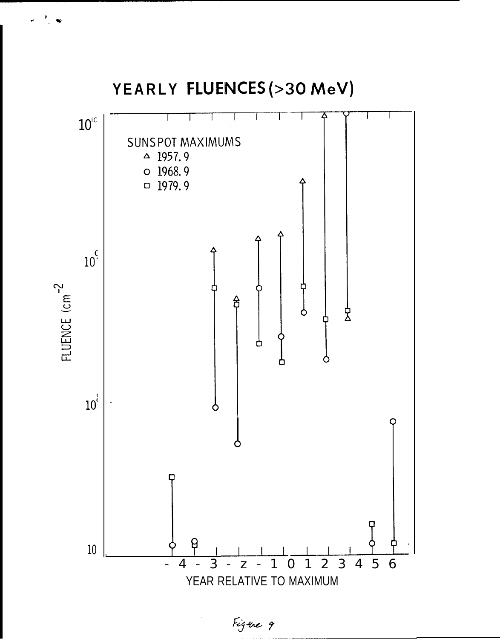

Figure 9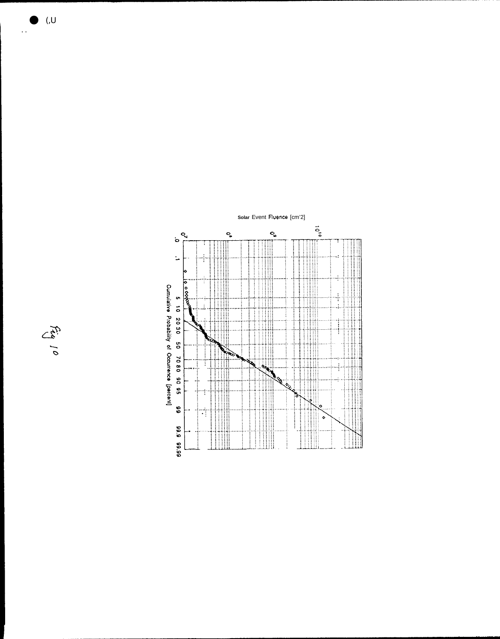



 $\ddots$